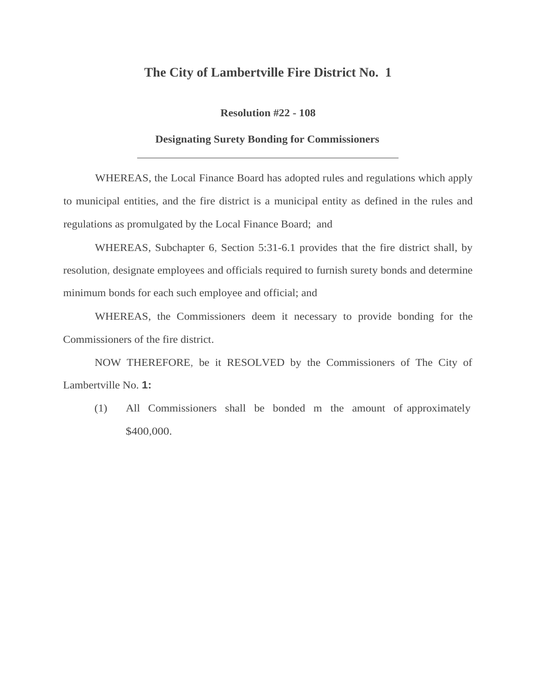## **The City of Lambertville Fire District No. 1**

**Resolution #22 - 108**

## **Designating Surety Bonding for Commissioners**

WHEREAS, the Local Finance Board has adopted rules and regulations which apply to municipal entities, and the fire district is a municipal entity as defined in the rules and regulations as promulgated by the Local Finance Board; and

WHEREAS, Subchapter 6, Section 5:31-6.1 provides that the fire district shall, by resolution, designate employees and officials required to furnish surety bonds and determine minimum bonds for each such employee and official; and

WHEREAS, the Commissioners deem it necessary to provide bonding for the Commissioners of the fire district.

NOW THEREFORE, be it RESOLVED by the Commissioners of The City of Lambertville No. **1:**

(1) All Commissioners shall be bonded m the amount of approximately \$400,000.